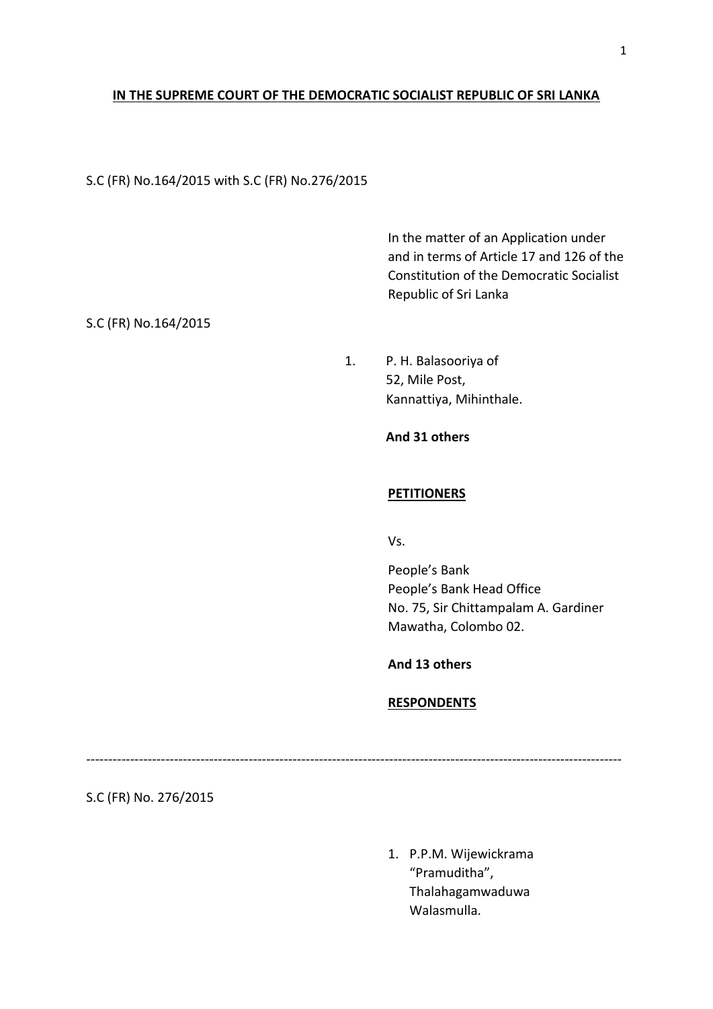# **IN THE SUPREME COURT OF THE DEMOCRATIC SOCIALIST REPUBLIC OF SRI LANKA**

# S.C (FR) No.164/2015 with S.C (FR) No.276/2015

In the matter of an Application under and in terms of Article 17 and 126 of the Constitution of the Democratic Socialist Republic of Sri Lanka

# S.C (FR) No.164/2015

1. P. H. Balasooriya of 52, Mile Post, Kannattiya, Mihinthale.

# **And 31 others**

## **PETITIONERS**

Vs.

People's Bank People's Bank Head Office No. 75, Sir Chittampalam A. Gardiner Mawatha, Colombo 02.

# **And 13 others**

# **RESPONDENTS**

--------------------------------------------------------------------------------------------------------------------------

S.C (FR) No. 276/2015

1. P.P.M. Wijewickrama "Pramuditha", Thalahagamwaduwa Walasmulla.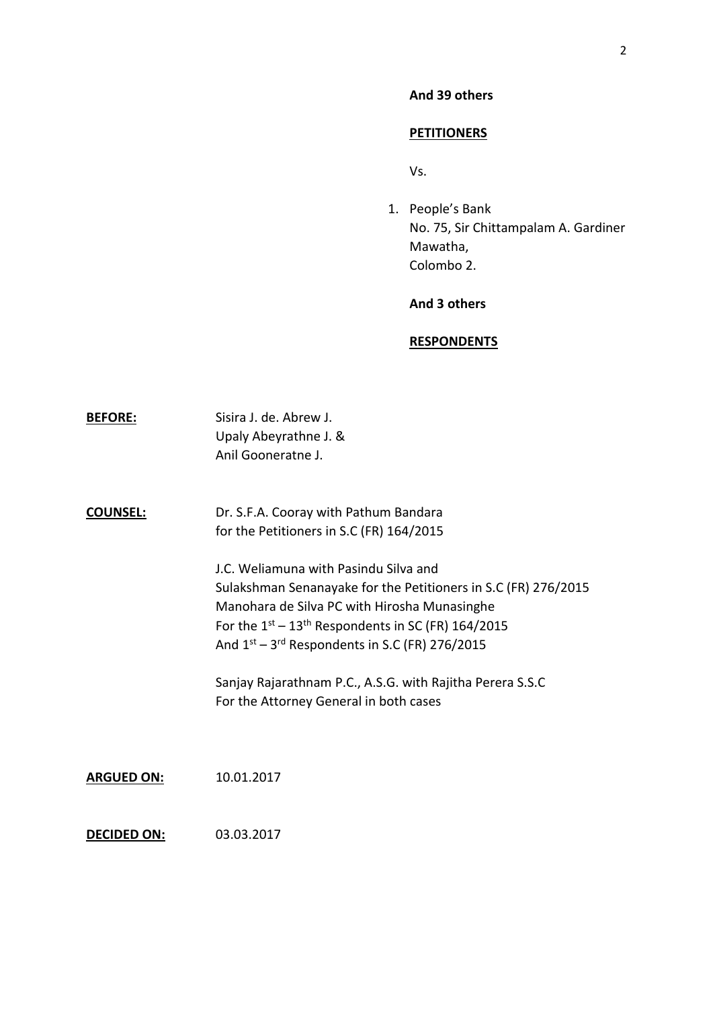### **And 39 others**

#### **PETITIONERS**

Vs.

1. People's Bank No. 75, Sir Chittampalam A. Gardiner Mawatha, Colombo 2.

### **And 3 others**

#### **RESPONDENTS**

| <b>BEFORE:</b> | Sisira J. de. Abrew J. |
|----------------|------------------------|
|                | Upaly Abeyrathne J. &  |
|                | Anil Gooneratne J.     |

**COUNSEL:** Dr. S.F.A. Cooray with Pathum Bandara for the Petitioners in S.C (FR) 164/2015

> J.C. Weliamuna with Pasindu Silva and Sulakshman Senanayake for the Petitioners in S.C (FR) 276/2015 Manohara de Silva PC with Hirosha Munasinghe For the  $1^{st}$  –  $13^{th}$  Respondents in SC (FR) 164/2015 And  $1<sup>st</sup> - 3<sup>rd</sup>$  Respondents in S.C (FR) 276/2015

Sanjay Rajarathnam P.C., A.S.G. with Rajitha Perera S.S.C For the Attorney General in both cases

**ARGUED ON:** 10.01.2017

**DECIDED ON:** 03.03.2017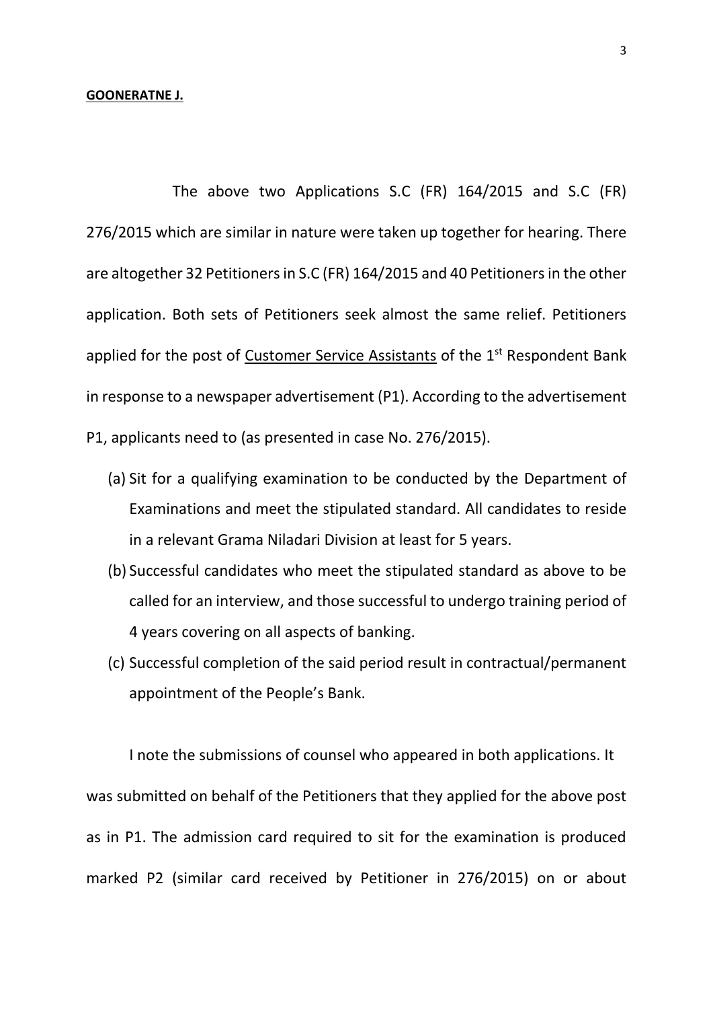The above two Applications S.C (FR) 164/2015 and S.C (FR) 276/2015 which are similar in nature were taken up together for hearing. There are altogether 32 Petitioners in S.C (FR) 164/2015 and 40 Petitioners in the other application. Both sets of Petitioners seek almost the same relief. Petitioners applied for the post of Customer Service Assistants of the 1<sup>st</sup> Respondent Bank in response to a newspaper advertisement (P1). According to the advertisement P1, applicants need to (as presented in case No. 276/2015).

- (a) Sit for a qualifying examination to be conducted by the Department of Examinations and meet the stipulated standard. All candidates to reside in a relevant Grama Niladari Division at least for 5 years.
- (b) Successful candidates who meet the stipulated standard as above to be called for an interview, and those successful to undergo training period of 4 years covering on all aspects of banking.
- (c) Successful completion of the said period result in contractual/permanent appointment of the People's Bank.

I note the submissions of counsel who appeared in both applications. It was submitted on behalf of the Petitioners that they applied for the above post as in P1. The admission card required to sit for the examination is produced marked P2 (similar card received by Petitioner in 276/2015) on or about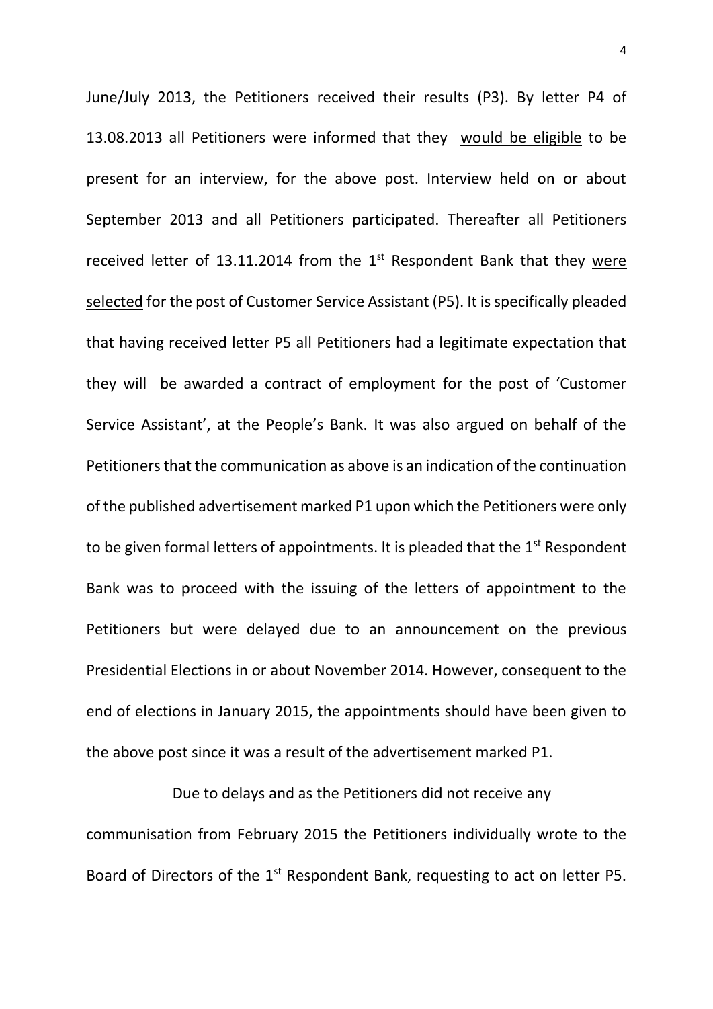June/July 2013, the Petitioners received their results (P3). By letter P4 of 13.08.2013 all Petitioners were informed that they would be eligible to be present for an interview, for the above post. Interview held on or about September 2013 and all Petitioners participated. Thereafter all Petitioners received letter of 13.11.2014 from the  $1<sup>st</sup>$  Respondent Bank that they were selected for the post of Customer Service Assistant (P5). It is specifically pleaded that having received letter P5 all Petitioners had a legitimate expectation that they will be awarded a contract of employment for the post of 'Customer Service Assistant', at the People's Bank. It was also argued on behalf of the Petitioners that the communication as above is an indication of the continuation of the published advertisement marked P1 upon which the Petitioners were only to be given formal letters of appointments. It is pleaded that the  $1<sup>st</sup>$  Respondent Bank was to proceed with the issuing of the letters of appointment to the Petitioners but were delayed due to an announcement on the previous Presidential Elections in or about November 2014. However, consequent to the end of elections in January 2015, the appointments should have been given to the above post since it was a result of the advertisement marked P1.

Due to delays and as the Petitioners did not receive any communisation from February 2015 the Petitioners individually wrote to the Board of Directors of the 1<sup>st</sup> Respondent Bank, requesting to act on letter P5.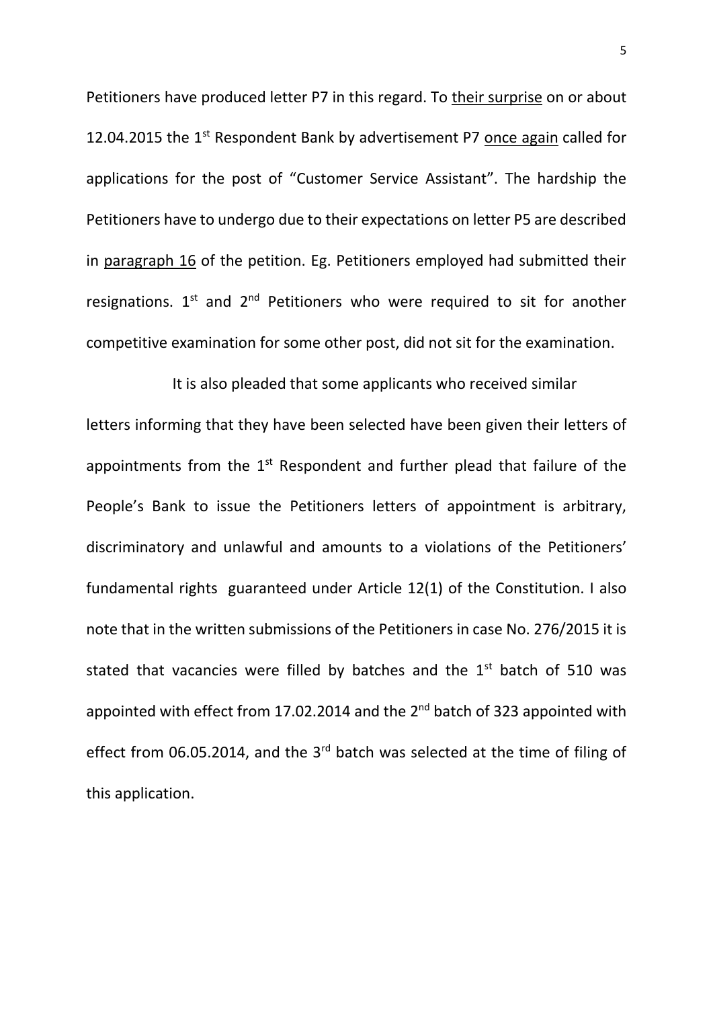Petitioners have produced letter P7 in this regard. To their surprise on or about 12.04.2015 the  $1<sup>st</sup>$  Respondent Bank by advertisement P7 once again called for applications for the post of "Customer Service Assistant". The hardship the Petitioners have to undergo due to their expectations on letter P5 are described in paragraph 16 of the petition. Eg. Petitioners employed had submitted their resignations.  $1^{st}$  and  $2^{nd}$  Petitioners who were required to sit for another competitive examination for some other post, did not sit for the examination.

It is also pleaded that some applicants who received similar letters informing that they have been selected have been given their letters of appointments from the  $1<sup>st</sup>$  Respondent and further plead that failure of the People's Bank to issue the Petitioners letters of appointment is arbitrary, discriminatory and unlawful and amounts to a violations of the Petitioners' fundamental rights guaranteed under Article 12(1) of the Constitution. I also note that in the written submissions of the Petitioners in case No. 276/2015 it is stated that vacancies were filled by batches and the  $1<sup>st</sup>$  batch of 510 was appointed with effect from 17.02.2014 and the 2<sup>nd</sup> batch of 323 appointed with effect from 06.05.2014, and the 3<sup>rd</sup> batch was selected at the time of filing of this application.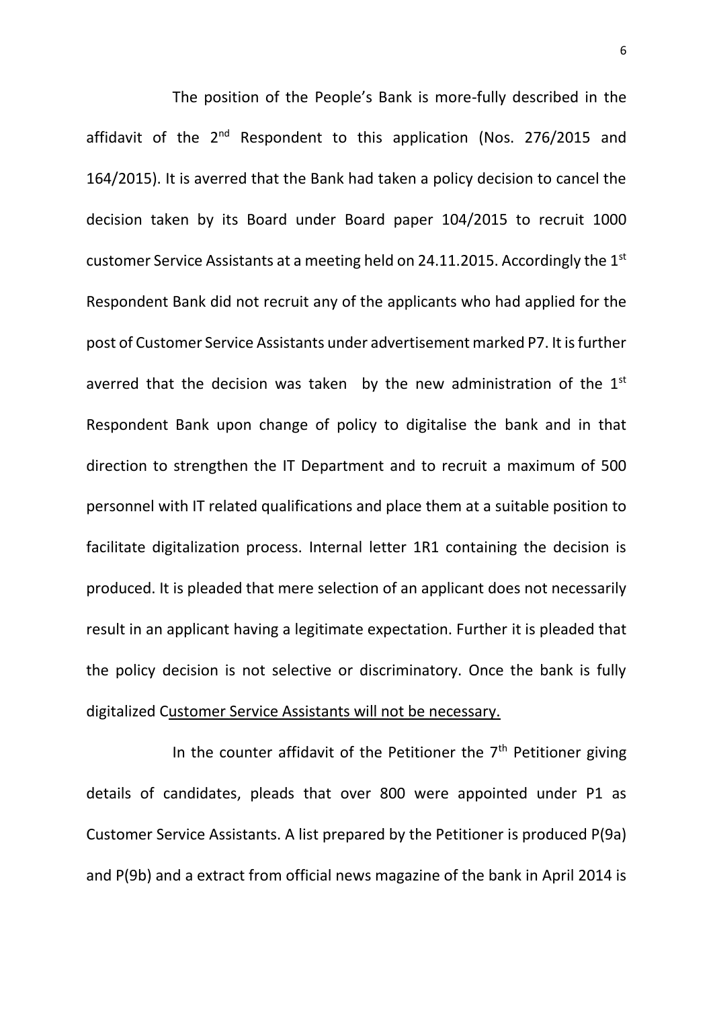The position of the People's Bank is more-fully described in the affidavit of the  $2^{nd}$  Respondent to this application (Nos. 276/2015 and 164/2015). It is averred that the Bank had taken a policy decision to cancel the decision taken by its Board under Board paper 104/2015 to recruit 1000 customer Service Assistants at a meeting held on 24.11.2015. Accordingly the 1<sup>st</sup> Respondent Bank did not recruit any of the applicants who had applied for the post of Customer Service Assistants under advertisement marked P7. It is further averred that the decision was taken by the new administration of the  $1<sup>st</sup>$ Respondent Bank upon change of policy to digitalise the bank and in that direction to strengthen the IT Department and to recruit a maximum of 500 personnel with IT related qualifications and place them at a suitable position to facilitate digitalization process. Internal letter 1R1 containing the decision is produced. It is pleaded that mere selection of an applicant does not necessarily result in an applicant having a legitimate expectation. Further it is pleaded that the policy decision is not selective or discriminatory. Once the bank is fully digitalized Customer Service Assistants will not be necessary.

In the counter affidavit of the Petitioner the  $7<sup>th</sup>$  Petitioner giving details of candidates, pleads that over 800 were appointed under P1 as Customer Service Assistants. A list prepared by the Petitioner is produced P(9a) and P(9b) and a extract from official news magazine of the bank in April 2014 is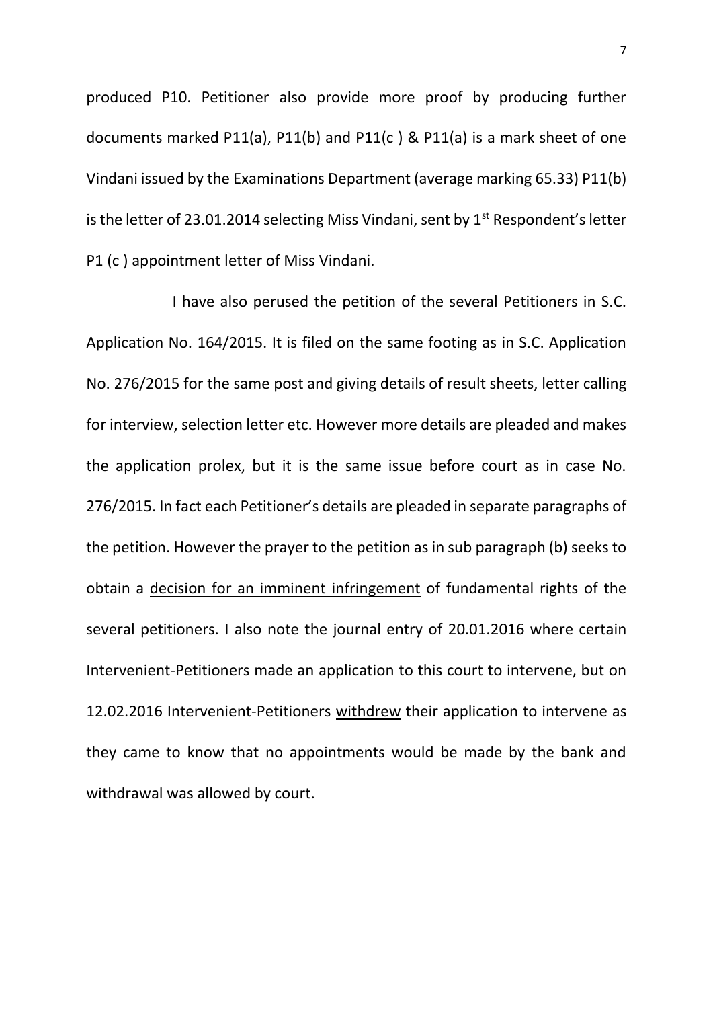produced P10. Petitioner also provide more proof by producing further documents marked P11(a), P11(b) and P11(c ) & P11(a) is a mark sheet of one Vindani issued by the Examinations Department (average marking 65.33) P11(b) is the letter of 23.01.2014 selecting Miss Vindani, sent by  $1<sup>st</sup>$  Respondent's letter P1 (c ) appointment letter of Miss Vindani.

I have also perused the petition of the several Petitioners in S.C. Application No. 164/2015. It is filed on the same footing as in S.C. Application No. 276/2015 for the same post and giving details of result sheets, letter calling for interview, selection letter etc. However more details are pleaded and makes the application prolex, but it is the same issue before court as in case No. 276/2015. In fact each Petitioner's details are pleaded in separate paragraphs of the petition. However the prayer to the petition as in sub paragraph (b) seeks to obtain a decision for an imminent infringement of fundamental rights of the several petitioners. I also note the journal entry of 20.01.2016 where certain Intervenient-Petitioners made an application to this court to intervene, but on 12.02.2016 Intervenient-Petitioners withdrew their application to intervene as they came to know that no appointments would be made by the bank and withdrawal was allowed by court.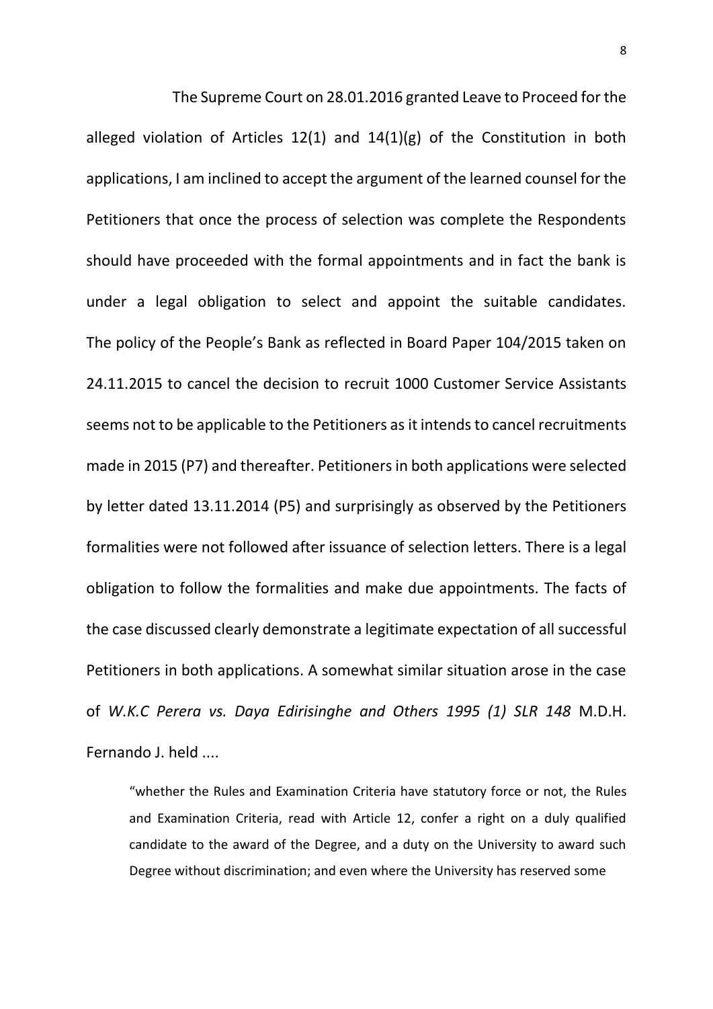The Supreme Court on 28.01.2016 granted Leave to Proceed for the alleged violation of Articles  $12(1)$  and  $14(1)(g)$  of the Constitution in both applications, I am inclined to accept the argument of the learned counsel for the Petitioners that once the process of selection was complete the Respondents should have proceeded with the formal appointments and in fact the bank is under a legal obligation to select and appoint the suitable candidates. The policy of the People's Bank as reflected in Board Paper 104/2015 taken on 24.11.2015 to cancel the decision to recruit 1000 Customer Service Assistants seems not to be applicable to the Petitioners as it intends to cancel recruitments made in 2015 (P7) and thereafter. Petitioners in both applications were selected by letter dated 13.11.2014 (P5) and surprisingly as observed by the Petitioners formalities were not followed after issuance of selection letters. There is a legal obligation to follow the formalities and make due appointments. The facts of the case discussed clearly demonstrate a legitimate expectation of all successful Petitioners in both applications. A somewhat similar situation arose in the case of *W.K.C Perera vs. Daya Edirisinghe and Others 1995 (1) SLR 148* M.D.H. Fernando J. held ....

"whether the Rules and Examination Criteria have statutory force or not, the Rules and Examination Criteria, read with Article 12, confer a right on a duly qualified candidate to the award of the Degree, and a duty on the University to award such Degree without discrimination; and even where the University has reserved some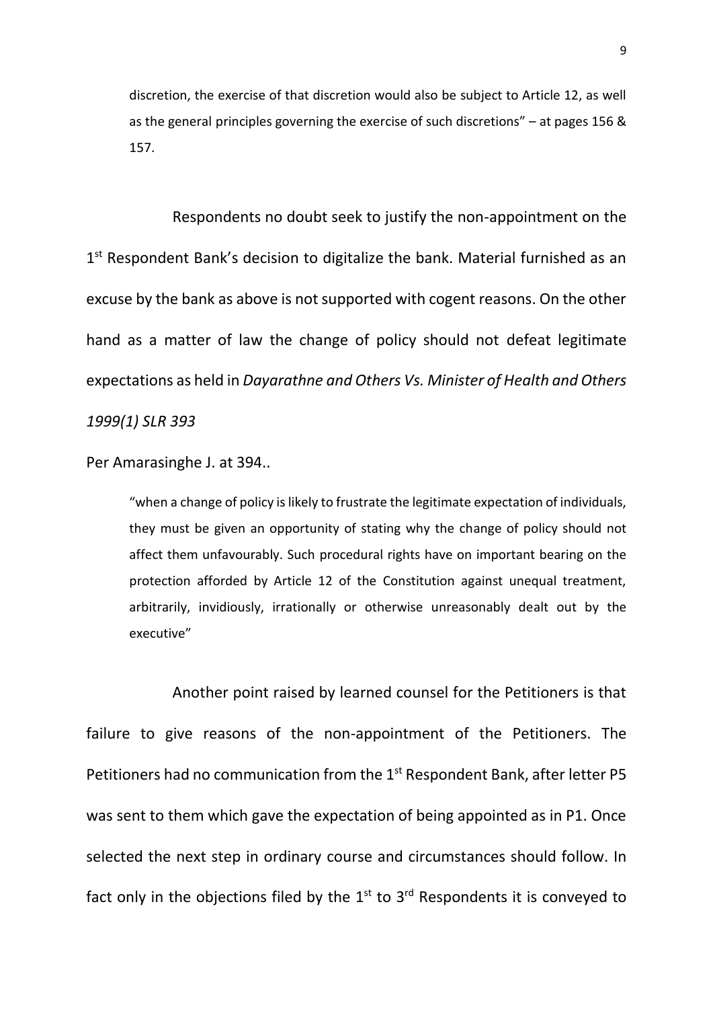discretion, the exercise of that discretion would also be subject to Article 12, as well as the general principles governing the exercise of such discretions" – at pages 156 & 157.

Respondents no doubt seek to justify the non-appointment on the 1<sup>st</sup> Respondent Bank's decision to digitalize the bank. Material furnished as an excuse by the bank as above is not supported with cogent reasons. On the other hand as a matter of law the change of policy should not defeat legitimate expectations as held in *Dayarathne and Others Vs. Minister of Health and Others 1999(1) SLR 393* 

Per Amarasinghe J. at 394..

"when a change of policy is likely to frustrate the legitimate expectation of individuals, they must be given an opportunity of stating why the change of policy should not affect them unfavourably. Such procedural rights have on important bearing on the protection afforded by Article 12 of the Constitution against unequal treatment, arbitrarily, invidiously, irrationally or otherwise unreasonably dealt out by the executive"

Another point raised by learned counsel for the Petitioners is that failure to give reasons of the non-appointment of the Petitioners. The Petitioners had no communication from the 1<sup>st</sup> Respondent Bank, after letter P5 was sent to them which gave the expectation of being appointed as in P1. Once selected the next step in ordinary course and circumstances should follow. In fact only in the objections filed by the  $1<sup>st</sup>$  to  $3<sup>rd</sup>$  Respondents it is conveyed to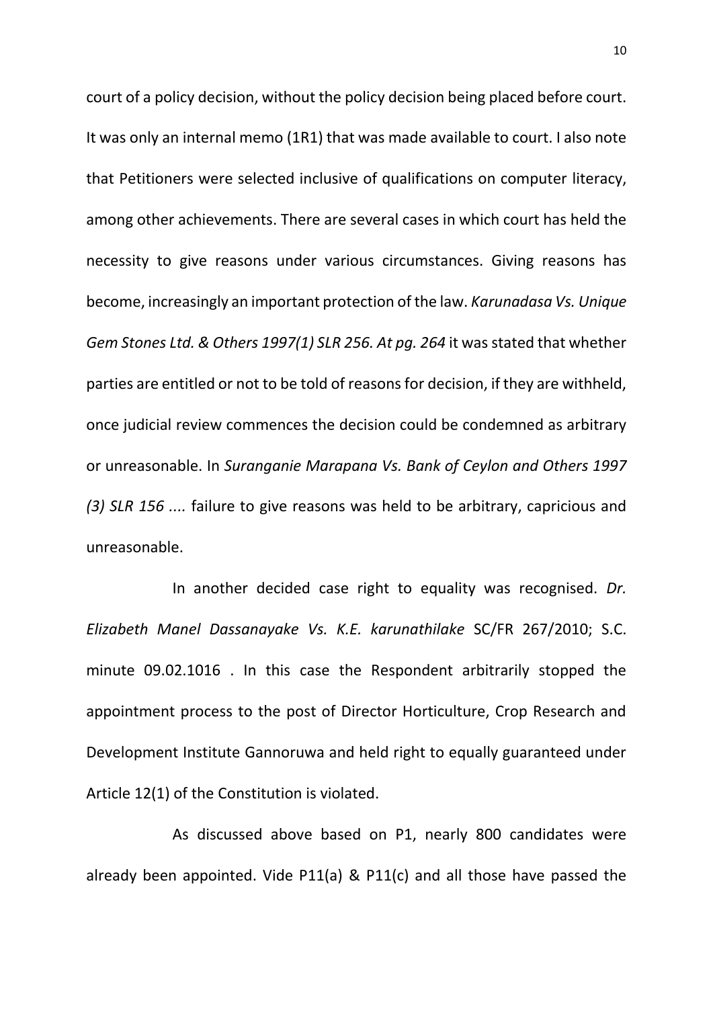court of a policy decision, without the policy decision being placed before court. It was only an internal memo (1R1) that was made available to court. I also note that Petitioners were selected inclusive of qualifications on computer literacy, among other achievements. There are several cases in which court has held the necessity to give reasons under various circumstances. Giving reasons has become, increasingly an important protection of the law. *Karunadasa Vs. Unique Gem Stones Ltd. & Others 1997(1) SLR 256. At pg. 264* it was stated that whether parties are entitled or not to be told of reasons for decision, if they are withheld, once judicial review commences the decision could be condemned as arbitrary or unreasonable. In *Suranganie Marapana Vs. Bank of Ceylon and Others 1997 (3) SLR 156 ....* failure to give reasons was held to be arbitrary, capricious and unreasonable.

In another decided case right to equality was recognised. *Dr. Elizabeth Manel Dassanayake Vs. K.E. karunathilake* SC/FR 267/2010; S.C. minute 09.02.1016 . In this case the Respondent arbitrarily stopped the appointment process to the post of Director Horticulture, Crop Research and Development Institute Gannoruwa and held right to equally guaranteed under Article 12(1) of the Constitution is violated.

As discussed above based on P1, nearly 800 candidates were already been appointed. Vide P11(a) & P11(c) and all those have passed the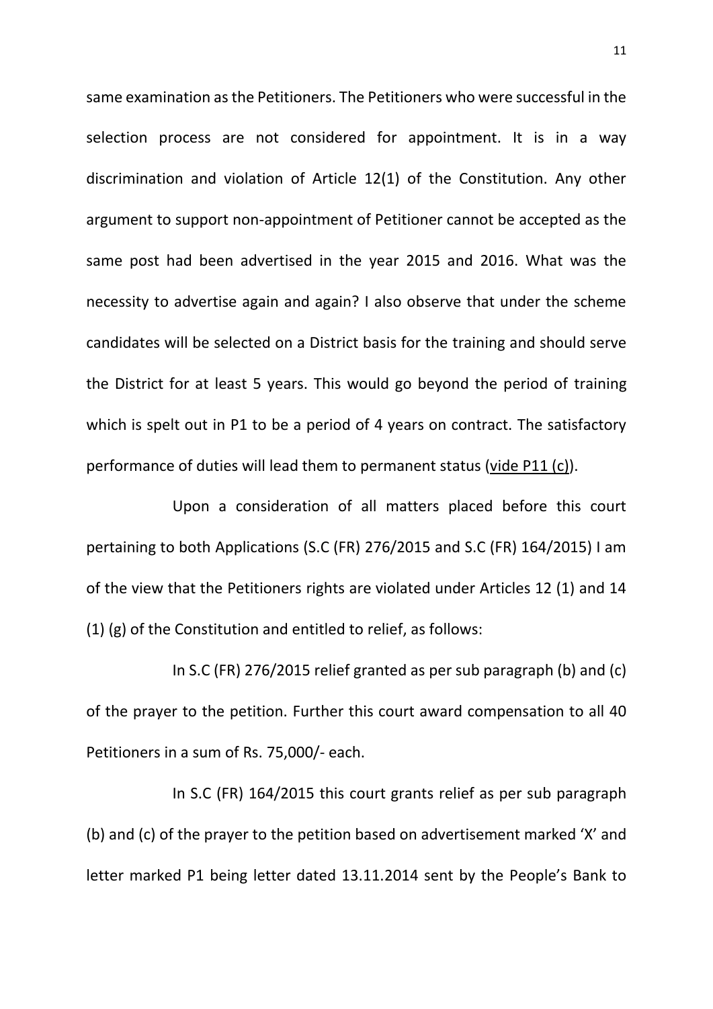same examination as the Petitioners. The Petitioners who were successful in the selection process are not considered for appointment. It is in a way discrimination and violation of Article 12(1) of the Constitution. Any other argument to support non-appointment of Petitioner cannot be accepted as the same post had been advertised in the year 2015 and 2016. What was the necessity to advertise again and again? I also observe that under the scheme candidates will be selected on a District basis for the training and should serve the District for at least 5 years. This would go beyond the period of training which is spelt out in P1 to be a period of 4 years on contract. The satisfactory performance of duties will lead them to permanent status (vide P11 (c)).

Upon a consideration of all matters placed before this court pertaining to both Applications (S.C (FR) 276/2015 and S.C (FR) 164/2015) I am of the view that the Petitioners rights are violated under Articles 12 (1) and 14 (1) (g) of the Constitution and entitled to relief, as follows:

In S.C (FR) 276/2015 relief granted as per sub paragraph (b) and (c) of the prayer to the petition. Further this court award compensation to all 40 Petitioners in a sum of Rs. 75,000/- each.

In S.C (FR) 164/2015 this court grants relief as per sub paragraph (b) and (c) of the prayer to the petition based on advertisement marked 'X' and letter marked P1 being letter dated 13.11.2014 sent by the People's Bank to